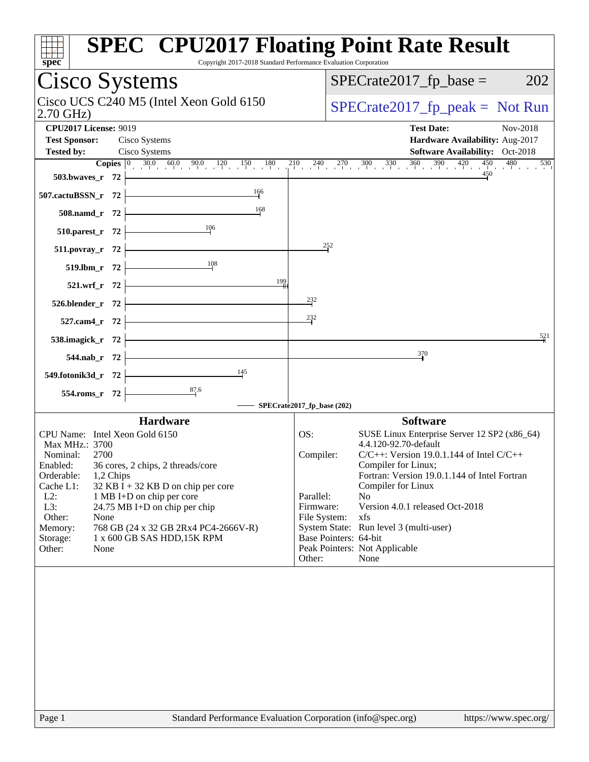| spec                                                                  | <b>SPEC<sup>®</sup> CPU2017 Floating Point Rate Result</b><br>Copyright 2017-2018 Standard Performance Evaluation Corporation                             |
|-----------------------------------------------------------------------|-----------------------------------------------------------------------------------------------------------------------------------------------------------|
| Cisco Systems                                                         | $SPECrate2017_fp\_base =$<br>202                                                                                                                          |
| Cisco UCS C240 M5 (Intel Xeon Gold 6150<br>$2.70$ GHz)                | $SPECrate2017_fp\_peak = Not Run$                                                                                                                         |
| <b>CPU2017 License: 9019</b><br><b>Test Sponsor:</b><br>Cisco Systems | <b>Test Date:</b><br>Nov-2018<br>Hardware Availability: Aug-2017                                                                                          |
| Cisco Systems<br><b>Tested by:</b>                                    | <b>Software Availability:</b> Oct-2018                                                                                                                    |
|                                                                       | <b>Copies</b> $\begin{bmatrix} 0 & 30.0 & 60.0 & 90.0 & 120 & 150 & 180 & 210 & 240 & 270 & 300 & 330 & 360 & 390 & 420 & 450 & 480 \end{bmatrix}$<br>530 |
| 503.bwaves_r 72                                                       | 450                                                                                                                                                       |
| $\frac{166}{1}$<br>507.cactuBSSN_r 72                                 |                                                                                                                                                           |
| 168<br>508.namd_r 72                                                  |                                                                                                                                                           |
| 106<br>510.parest_r 72                                                |                                                                                                                                                           |
| 511.povray_r 72<br>108                                                | $\frac{252}{7}$                                                                                                                                           |
| 519.lbm_r 72<br>199                                                   |                                                                                                                                                           |
| 521.wrf_r 72<br>526.blender_r 72                                      | 232                                                                                                                                                       |
| 527.cam4_r 72                                                         | $^{232}$                                                                                                                                                  |
| 538.imagick_r 72                                                      | 521                                                                                                                                                       |
| 544.nab_r 72                                                          | 370                                                                                                                                                       |
| 145<br>549.fotonik3d_r 72                                             |                                                                                                                                                           |
| $\frac{87.6}{4}$<br>554.roms_r 72                                     |                                                                                                                                                           |
|                                                                       | SPECrate2017_fp_base (202)                                                                                                                                |
| <b>Hardware</b>                                                       | <b>Software</b>                                                                                                                                           |
| CPU Name: Intel Xeon Gold 6150                                        | OS:<br>SUSE Linux Enterprise Server 12 SP2 (x86_64)                                                                                                       |
| Max MHz.: 3700                                                        | 4.4.120-92.70-default                                                                                                                                     |
| Nominal:<br>2700                                                      | Compiler:<br>$C/C++$ : Version 19.0.1.144 of Intel $C/C++$                                                                                                |
| 36 cores, 2 chips, 2 threads/core<br>Enabled:                         | Compiler for Linux;                                                                                                                                       |
| Orderable:<br>1,2 Chips                                               | Fortran: Version 19.0.1.144 of Intel Fortran                                                                                                              |
| Cache L1:<br>32 KB I + 32 KB D on chip per core                       | Compiler for Linux                                                                                                                                        |
| $L2$ :<br>1 MB I+D on chip per core                                   | Parallel:<br>N <sub>o</sub>                                                                                                                               |
| L3:<br>24.75 MB I+D on chip per chip                                  | Version 4.0.1 released Oct-2018<br>Firmware:                                                                                                              |
| Other:<br>None                                                        | File System:<br>xfs                                                                                                                                       |
| 768 GB (24 x 32 GB 2Rx4 PC4-2666V-R)<br>Memory:                       | System State: Run level 3 (multi-user)                                                                                                                    |
| 1 x 600 GB SAS HDD, 15K RPM<br>Storage:                               | Base Pointers: 64-bit                                                                                                                                     |
| Other:<br>None                                                        | Peak Pointers: Not Applicable<br>Other:<br>None                                                                                                           |
|                                                                       |                                                                                                                                                           |
| Page 1                                                                | Standard Performance Evaluation Corporation (info@spec.org)<br>https://www.spec.org/                                                                      |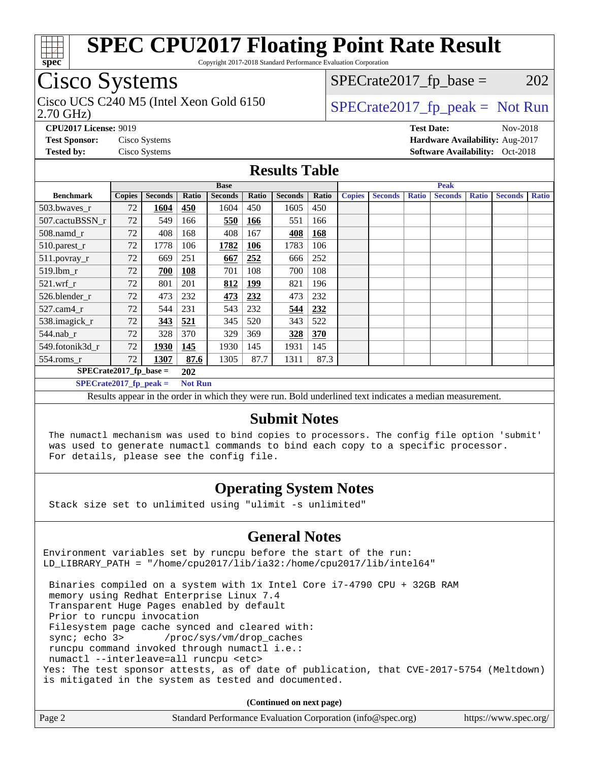

Copyright 2017-2018 Standard Performance Evaluation Corporation

## Cisco Systems

2.70 GHz) Cisco UCS C240 M5 (Intel Xeon Gold 6150  $SPECrate2017<sub>fp</sub> peak = Not Run$ 

 $SPECTate2017<sub>fr</sub> base = 202$ 

**[CPU2017 License:](http://www.spec.org/auto/cpu2017/Docs/result-fields.html#CPU2017License)** 9019 **[Test Date:](http://www.spec.org/auto/cpu2017/Docs/result-fields.html#TestDate)** Nov-2018 **[Test Sponsor:](http://www.spec.org/auto/cpu2017/Docs/result-fields.html#TestSponsor)** Cisco Systems **[Hardware Availability:](http://www.spec.org/auto/cpu2017/Docs/result-fields.html#HardwareAvailability)** Aug-2017 **[Tested by:](http://www.spec.org/auto/cpu2017/Docs/result-fields.html#Testedby)** Cisco Systems **[Software Availability:](http://www.spec.org/auto/cpu2017/Docs/result-fields.html#SoftwareAvailability)** Oct-2018

#### **[Results Table](http://www.spec.org/auto/cpu2017/Docs/result-fields.html#ResultsTable)**

|                                            |               | <b>Base</b>    |       |                |            |                | <b>Peak</b> |               |                |              |                |              |                |              |
|--------------------------------------------|---------------|----------------|-------|----------------|------------|----------------|-------------|---------------|----------------|--------------|----------------|--------------|----------------|--------------|
| <b>Benchmark</b>                           | <b>Copies</b> | <b>Seconds</b> | Ratio | <b>Seconds</b> | Ratio      | <b>Seconds</b> | Ratio       | <b>Copies</b> | <b>Seconds</b> | <b>Ratio</b> | <b>Seconds</b> | <b>Ratio</b> | <b>Seconds</b> | <b>Ratio</b> |
| 503.bwayes_r                               | 72            | 1604           | 450   | 1604           | 450        | 1605           | 450         |               |                |              |                |              |                |              |
| 507.cactuBSSN r                            | 72            | 549            | 166   | 550            | <u>166</u> | 551            | 166         |               |                |              |                |              |                |              |
| 508.namd_r                                 | 72            | 408            | 168   | 408            | 167        | 408            | 168         |               |                |              |                |              |                |              |
| 510.parest_r                               | 72            | 1778           | 106   | 1782           | 106        | 1783           | 106         |               |                |              |                |              |                |              |
| 511.povray_r                               | 72            | 669            | 251   | 667            | 252        | 666            | 252         |               |                |              |                |              |                |              |
| 519.lbm r                                  | 72            | 700            | 108   | 701            | 108        | 700            | 108         |               |                |              |                |              |                |              |
| $521$ .wrf r                               | 72            | 801            | 201   | 812            | <u>199</u> | 821            | 196         |               |                |              |                |              |                |              |
| 526.blender r                              | 72            | 473            | 232   | 473            | 232        | 473            | 232         |               |                |              |                |              |                |              |
| $527$ .cam $4r$                            | 72            | 544            | 231   | 543            | 232        | 544            | 232         |               |                |              |                |              |                |              |
| 538.imagick_r                              | 72            | 343            | 521   | 345            | 520        | 343            | 522         |               |                |              |                |              |                |              |
| $544$ .nab r                               | 72            | 328            | 370   | 329            | 369        | 328            | 370         |               |                |              |                |              |                |              |
| 549.fotonik3d r                            | 72            | 1930           | 145   | 1930           | 145        | 1931           | 145         |               |                |              |                |              |                |              |
| $554$ .roms_r                              | 72            | 1307           | 87.6  | 1305           | 87.7       | 1311           | 87.3        |               |                |              |                |              |                |              |
| $SPECrate2017$ fp base =<br>202            |               |                |       |                |            |                |             |               |                |              |                |              |                |              |
| $SPECrate2017$ fp peak =<br><b>Not Run</b> |               |                |       |                |            |                |             |               |                |              |                |              |                |              |

Results appear in the [order in which they were run.](http://www.spec.org/auto/cpu2017/Docs/result-fields.html#RunOrder) Bold underlined text [indicates a median measurement.](http://www.spec.org/auto/cpu2017/Docs/result-fields.html#Median)

#### **[Submit Notes](http://www.spec.org/auto/cpu2017/Docs/result-fields.html#SubmitNotes)**

 The numactl mechanism was used to bind copies to processors. The config file option 'submit' was used to generate numactl commands to bind each copy to a specific processor. For details, please see the config file.

#### **[Operating System Notes](http://www.spec.org/auto/cpu2017/Docs/result-fields.html#OperatingSystemNotes)**

Stack size set to unlimited using "ulimit -s unlimited"

#### **[General Notes](http://www.spec.org/auto/cpu2017/Docs/result-fields.html#GeneralNotes)**

Environment variables set by runcpu before the start of the run: LD\_LIBRARY\_PATH = "/home/cpu2017/lib/ia32:/home/cpu2017/lib/intel64"

 Binaries compiled on a system with 1x Intel Core i7-4790 CPU + 32GB RAM memory using Redhat Enterprise Linux 7.4 Transparent Huge Pages enabled by default Prior to runcpu invocation Filesystem page cache synced and cleared with: sync; echo 3> /proc/sys/vm/drop\_caches runcpu command invoked through numactl i.e.: numactl --interleave=all runcpu <etc> Yes: The test sponsor attests, as of date of publication, that CVE-2017-5754 (Meltdown) is mitigated in the system as tested and documented.

**(Continued on next page)**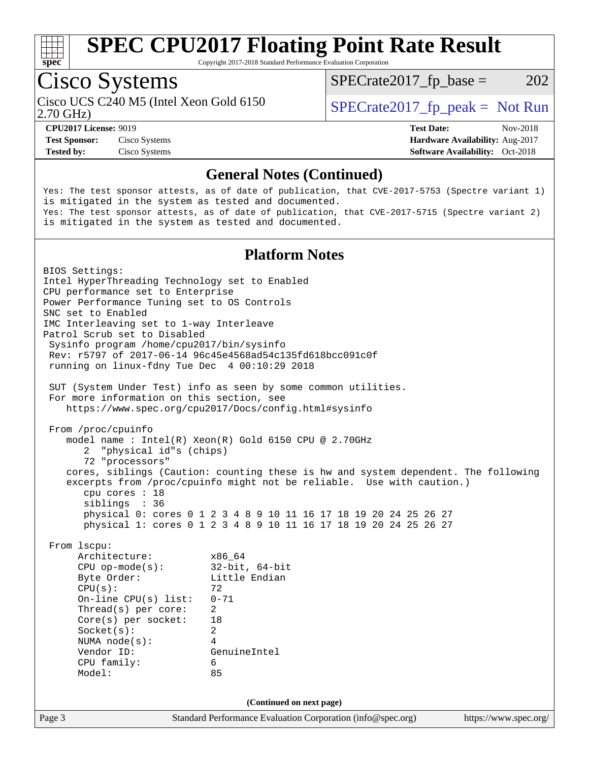

Copyright 2017-2018 Standard Performance Evaluation Corporation

## Cisco Systems

2.70 GHz) Cisco UCS C240 M5 (Intel Xeon Gold 6150  $SPECrate2017<sub>fp</sub> peak = Not Run$ 

 $SPECTate2017<sub>fr</sub> base = 202$ 

**[Test Sponsor:](http://www.spec.org/auto/cpu2017/Docs/result-fields.html#TestSponsor)** Cisco Systems **[Hardware Availability:](http://www.spec.org/auto/cpu2017/Docs/result-fields.html#HardwareAvailability)** Aug-2017

**[CPU2017 License:](http://www.spec.org/auto/cpu2017/Docs/result-fields.html#CPU2017License)** 9019 **[Test Date:](http://www.spec.org/auto/cpu2017/Docs/result-fields.html#TestDate)** Nov-2018 **[Tested by:](http://www.spec.org/auto/cpu2017/Docs/result-fields.html#Testedby)** Cisco Systems **[Software Availability:](http://www.spec.org/auto/cpu2017/Docs/result-fields.html#SoftwareAvailability)** Oct-2018

#### **[General Notes \(Continued\)](http://www.spec.org/auto/cpu2017/Docs/result-fields.html#GeneralNotes)**

Yes: The test sponsor attests, as of date of publication, that CVE-2017-5753 (Spectre variant 1) is mitigated in the system as tested and documented. Yes: The test sponsor attests, as of date of publication, that CVE-2017-5715 (Spectre variant 2) is mitigated in the system as tested and documented.

#### **[Platform Notes](http://www.spec.org/auto/cpu2017/Docs/result-fields.html#PlatformNotes)**

Page 3 Standard Performance Evaluation Corporation [\(info@spec.org\)](mailto:info@spec.org) <https://www.spec.org/> BIOS Settings: Intel HyperThreading Technology set to Enabled CPU performance set to Enterprise Power Performance Tuning set to OS Controls SNC set to Enabled IMC Interleaving set to 1-way Interleave Patrol Scrub set to Disabled Sysinfo program /home/cpu2017/bin/sysinfo Rev: r5797 of 2017-06-14 96c45e4568ad54c135fd618bcc091c0f running on linux-fdny Tue Dec 4 00:10:29 2018 SUT (System Under Test) info as seen by some common utilities. For more information on this section, see <https://www.spec.org/cpu2017/Docs/config.html#sysinfo> From /proc/cpuinfo model name : Intel(R) Xeon(R) Gold 6150 CPU @ 2.70GHz 2 "physical id"s (chips) 72 "processors" cores, siblings (Caution: counting these is hw and system dependent. The following excerpts from /proc/cpuinfo might not be reliable. Use with caution.) cpu cores : 18 siblings : 36 physical 0: cores 0 1 2 3 4 8 9 10 11 16 17 18 19 20 24 25 26 27 physical 1: cores 0 1 2 3 4 8 9 10 11 16 17 18 19 20 24 25 26 27 From lscpu: Architecture: x86\_64 CPU op-mode(s): 32-bit, 64-bit Byte Order: Little Endian  $CPU(s):$  72 On-line CPU(s) list: 0-71 Thread(s) per core: 2 Core(s) per socket: 18 Socket(s): 2 NUMA node(s): 4 Vendor ID: GenuineIntel CPU family: 6 Model: 85 **(Continued on next page)**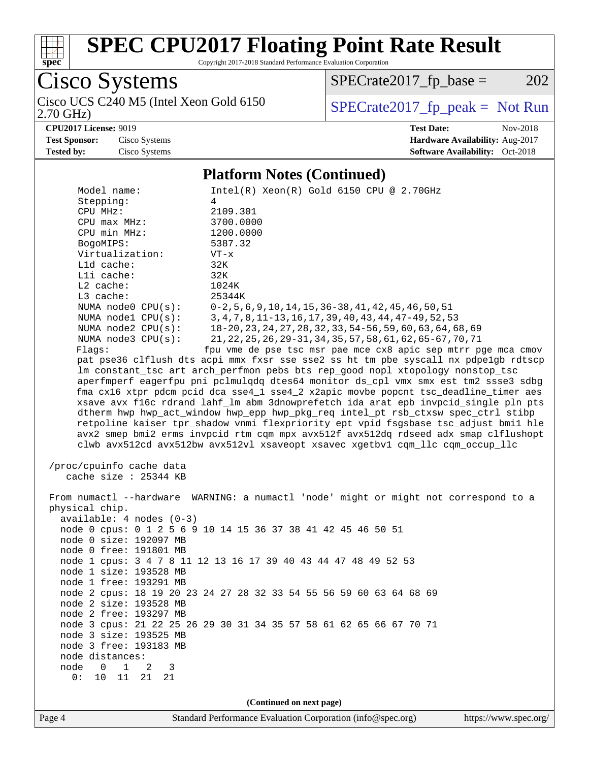

Copyright 2017-2018 Standard Performance Evaluation Corporation

Cisco Systems

 $SPECrate2017_fp\_base = 202$ 

2.70 GHz)

## Cisco UCS C240 M5 (Intel Xeon Gold 6150  $SPECrate2017_fp\_peak = Not Run$

**[CPU2017 License:](http://www.spec.org/auto/cpu2017/Docs/result-fields.html#CPU2017License)** 9019 **[Test Date:](http://www.spec.org/auto/cpu2017/Docs/result-fields.html#TestDate)** Nov-2018 **[Test Sponsor:](http://www.spec.org/auto/cpu2017/Docs/result-fields.html#TestSponsor)** Cisco Systems **[Hardware Availability:](http://www.spec.org/auto/cpu2017/Docs/result-fields.html#HardwareAvailability)** Aug-2017 **[Tested by:](http://www.spec.org/auto/cpu2017/Docs/result-fields.html#Testedby)** Cisco Systems **[Software Availability:](http://www.spec.org/auto/cpu2017/Docs/result-fields.html#SoftwareAvailability)** Oct-2018

#### **[Platform Notes \(Continued\)](http://www.spec.org/auto/cpu2017/Docs/result-fields.html#PlatformNotes)**

| Model name:<br>$Intel(R)$ Xeon $(R)$ Gold 6150 CPU @ 2.70GHz<br>Stepping:<br>4<br>2109.301<br>CPU MHz:<br>$CPU$ $max$ $MHz$ :<br>3700.0000<br>CPU min MHz:<br>1200.0000<br>5387.32<br>BogoMIPS:<br>Virtualization:<br>$VT - x$<br>L1d cache:<br>32K<br>Lli cache:<br>32K<br>$L2$ cache:<br>1024K<br>L3 cache:<br>25344K<br>NUMA $node0$ $CPU(s)$ :<br>$0-2, 5, 6, 9, 10, 14, 15, 36-38, 41, 42, 45, 46, 50, 51$<br>NUMA nodel CPU(s):<br>3, 4, 7, 8, 11-13, 16, 17, 39, 40, 43, 44, 47-49, 52, 53<br>NUMA $node2$ $CPU(s)$ :<br>18-20, 23, 24, 27, 28, 32, 33, 54-56, 59, 60, 63, 64, 68, 69<br>NUMA node3 CPU(s):<br>21, 22, 25, 26, 29-31, 34, 35, 57, 58, 61, 62, 65-67, 70, 71<br>Flags:<br>fpu vme de pse tsc msr pae mce cx8 apic sep mtrr pge mca cmov<br>pat pse36 clflush dts acpi mmx fxsr sse sse2 ss ht tm pbe syscall nx pdpelgb rdtscp<br>lm constant_tsc art arch_perfmon pebs bts rep_good nopl xtopology nonstop_tsc<br>aperfmperf eagerfpu pni pclmulqdq dtes64 monitor ds_cpl vmx smx est tm2 ssse3 sdbg<br>fma cx16 xtpr pdcm pcid dca sse4_1 sse4_2 x2apic movbe popcnt tsc_deadline_timer aes<br>xsave avx f16c rdrand lahf_lm abm 3dnowprefetch ida arat epb invpcid_single pln pts<br>dtherm hwp hwp_act_window hwp_epp hwp_pkg_req intel_pt rsb_ctxsw spec_ctrl stibp<br>retpoline kaiser tpr_shadow vnmi flexpriority ept vpid fsgsbase tsc_adjust bmil hle<br>avx2 smep bmi2 erms invpcid rtm cqm mpx avx512f avx512dq rdseed adx smap clflushopt |
|------------------------------------------------------------------------------------------------------------------------------------------------------------------------------------------------------------------------------------------------------------------------------------------------------------------------------------------------------------------------------------------------------------------------------------------------------------------------------------------------------------------------------------------------------------------------------------------------------------------------------------------------------------------------------------------------------------------------------------------------------------------------------------------------------------------------------------------------------------------------------------------------------------------------------------------------------------------------------------------------------------------------------------------------------------------------------------------------------------------------------------------------------------------------------------------------------------------------------------------------------------------------------------------------------------------------------------------------------------------------------------------------------------------------------------------------------------------------------|
| clwb avx512cd avx512bw avx512vl xsaveopt xsavec xgetbvl cqm_llc cqm_occup_llc<br>/proc/cpuinfo cache data                                                                                                                                                                                                                                                                                                                                                                                                                                                                                                                                                                                                                                                                                                                                                                                                                                                                                                                                                                                                                                                                                                                                                                                                                                                                                                                                                                    |
| cache size : 25344 KB                                                                                                                                                                                                                                                                                                                                                                                                                                                                                                                                                                                                                                                                                                                                                                                                                                                                                                                                                                                                                                                                                                                                                                                                                                                                                                                                                                                                                                                        |
| From numactl --hardware WARNING: a numactl 'node' might or might not correspond to a<br>physical chip.<br>$available: 4 nodes (0-3)$<br>node 0 cpus: 0 1 2 5 6 9 10 14 15 36 37 38 41 42 45 46 50 51<br>node 0 size: 192097 MB<br>node 0 free: 191801 MB<br>node 1 cpus: 3 4 7 8 11 12 13 16 17 39 40 43 44 47 48 49 52 53<br>node 1 size: 193528 MB<br>node 1 free: 193291 MB                                                                                                                                                                                                                                                                                                                                                                                                                                                                                                                                                                                                                                                                                                                                                                                                                                                                                                                                                                                                                                                                                               |
| node 2 cpus: 18 19 20 23 24 27 28 32 33 54 55 56 59 60 63 64 68 69<br>node 2 size: 193528 MB<br>node 2 free: 193297 MB<br>node 3 cpus: 21 22 25 26 29 30 31 34 35 57 58 61 62 65 66 67 70 71                                                                                                                                                                                                                                                                                                                                                                                                                                                                                                                                                                                                                                                                                                                                                                                                                                                                                                                                                                                                                                                                                                                                                                                                                                                                                 |
| node 3 size: 193525 MB<br>node 3 free: 193183 MB<br>node distances:<br>node<br>$\overline{0}$<br>$\mathbf{1}$<br>2<br>3<br>0:<br>10<br>11<br>21<br>21                                                                                                                                                                                                                                                                                                                                                                                                                                                                                                                                                                                                                                                                                                                                                                                                                                                                                                                                                                                                                                                                                                                                                                                                                                                                                                                        |
| (Continued on next page)                                                                                                                                                                                                                                                                                                                                                                                                                                                                                                                                                                                                                                                                                                                                                                                                                                                                                                                                                                                                                                                                                                                                                                                                                                                                                                                                                                                                                                                     |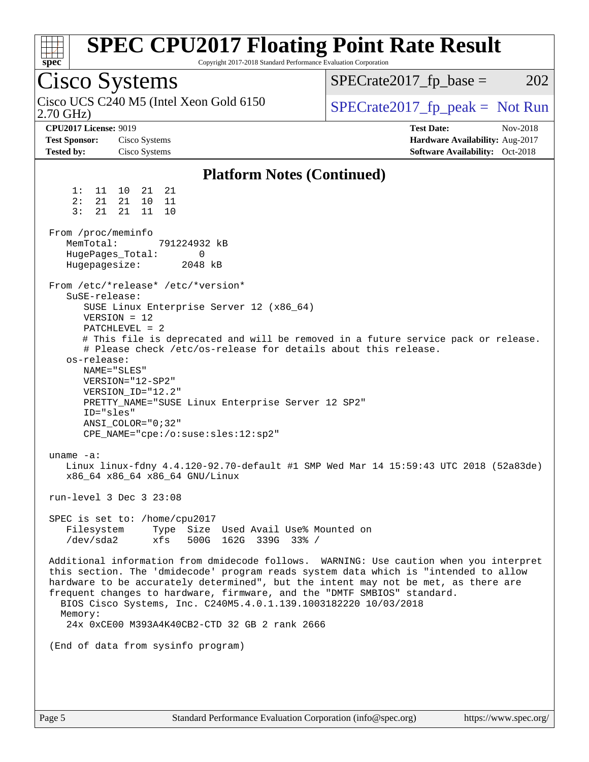| <b>SPEC CPU2017 Floating Point Rate Result</b><br>spec<br>Copyright 2017-2018 Standard Performance Evaluation Corporation                                                                                                                                                                                                                                                                                                                                                                                                                                                                                                                                                                                                                                                                                                                                                                                                                                                                                                                                                                                                                                                                                                                                                                                                        |                                                                  |
|----------------------------------------------------------------------------------------------------------------------------------------------------------------------------------------------------------------------------------------------------------------------------------------------------------------------------------------------------------------------------------------------------------------------------------------------------------------------------------------------------------------------------------------------------------------------------------------------------------------------------------------------------------------------------------------------------------------------------------------------------------------------------------------------------------------------------------------------------------------------------------------------------------------------------------------------------------------------------------------------------------------------------------------------------------------------------------------------------------------------------------------------------------------------------------------------------------------------------------------------------------------------------------------------------------------------------------|------------------------------------------------------------------|
| <b>Cisco Systems</b>                                                                                                                                                                                                                                                                                                                                                                                                                                                                                                                                                                                                                                                                                                                                                                                                                                                                                                                                                                                                                                                                                                                                                                                                                                                                                                             | 202<br>$SPECrate2017_fp\_base =$                                 |
| Cisco UCS C240 M5 (Intel Xeon Gold 6150<br>$2.70$ GHz)                                                                                                                                                                                                                                                                                                                                                                                                                                                                                                                                                                                                                                                                                                                                                                                                                                                                                                                                                                                                                                                                                                                                                                                                                                                                           | $SPECrate2017_fp\_peak = Not Run$                                |
| <b>CPU2017 License: 9019</b><br><b>Test Sponsor:</b><br>Cisco Systems                                                                                                                                                                                                                                                                                                                                                                                                                                                                                                                                                                                                                                                                                                                                                                                                                                                                                                                                                                                                                                                                                                                                                                                                                                                            | <b>Test Date:</b><br>Nov-2018<br>Hardware Availability: Aug-2017 |
| <b>Tested by:</b><br>Cisco Systems                                                                                                                                                                                                                                                                                                                                                                                                                                                                                                                                                                                                                                                                                                                                                                                                                                                                                                                                                                                                                                                                                                                                                                                                                                                                                               | Software Availability: Oct-2018                                  |
| <b>Platform Notes (Continued)</b>                                                                                                                                                                                                                                                                                                                                                                                                                                                                                                                                                                                                                                                                                                                                                                                                                                                                                                                                                                                                                                                                                                                                                                                                                                                                                                |                                                                  |
| 21 21<br>1: 11 10<br>2:<br>21<br>21 10 11<br>3:<br>11<br>21<br>21<br>10                                                                                                                                                                                                                                                                                                                                                                                                                                                                                                                                                                                                                                                                                                                                                                                                                                                                                                                                                                                                                                                                                                                                                                                                                                                          |                                                                  |
| From /proc/meminfo<br>MemTotal:<br>791224932 kB<br>HugePages_Total:<br>0<br>Hugepagesize:<br>2048 kB                                                                                                                                                                                                                                                                                                                                                                                                                                                                                                                                                                                                                                                                                                                                                                                                                                                                                                                                                                                                                                                                                                                                                                                                                             |                                                                  |
| From /etc/*release* /etc/*version*<br>SuSE-release:<br>SUSE Linux Enterprise Server 12 (x86_64)<br>$VERSION = 12$<br>$PATCHLEVEL = 2$<br># This file is deprecated and will be removed in a future service pack or release.<br># Please check /etc/os-release for details about this release.<br>os-release:<br>NAME="SLES"<br>VERSION="12-SP2"<br>VERSION_ID="12.2"<br>PRETTY_NAME="SUSE Linux Enterprise Server 12 SP2"<br>ID="sles"<br>ANSI COLOR="0;32"<br>CPE_NAME="cpe:/o:suse:sles:12:sp2"<br>uname $-a$ :<br>Linux linux-fdny 4.4.120-92.70-default #1 SMP Wed Mar 14 15:59:43 UTC 2018 (52a83de)<br>x86_64 x86_64 x86_64 GNU/Linux<br>run-level 3 Dec 3 23:08<br>SPEC is set to: /home/cpu2017<br>Filesystem<br>Type Size Used Avail Use% Mounted on<br>/dev/sda2<br>500G 162G 339G 33% /<br>xfs<br>Additional information from dmidecode follows. WARNING: Use caution when you interpret<br>this section. The 'dmidecode' program reads system data which is "intended to allow<br>hardware to be accurately determined", but the intent may not be met, as there are<br>frequent changes to hardware, firmware, and the "DMTF SMBIOS" standard.<br>BIOS Cisco Systems, Inc. C240M5.4.0.1.139.1003182220 10/03/2018<br>Memory:<br>24x 0xCE00 M393A4K40CB2-CTD 32 GB 2 rank 2666<br>(End of data from sysinfo program) |                                                                  |
|                                                                                                                                                                                                                                                                                                                                                                                                                                                                                                                                                                                                                                                                                                                                                                                                                                                                                                                                                                                                                                                                                                                                                                                                                                                                                                                                  |                                                                  |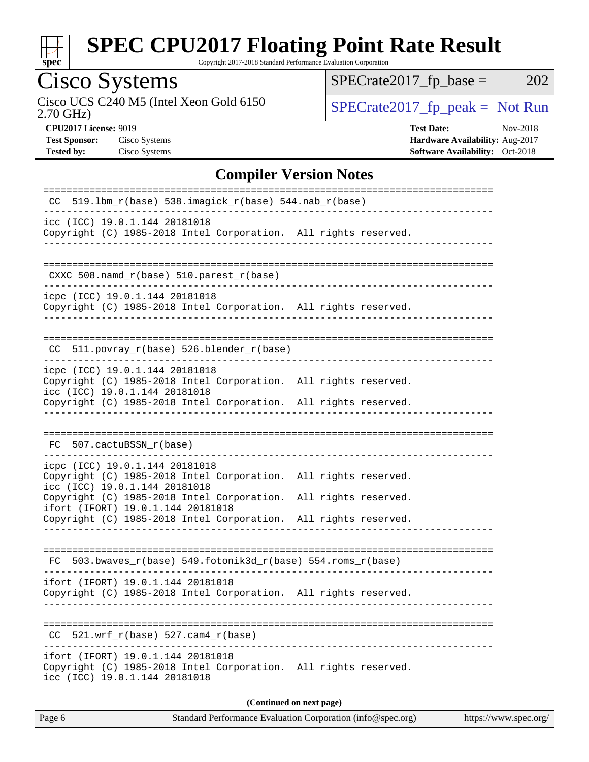

Copyright 2017-2018 Standard Performance Evaluation Corporation

# Cisco Systems<br>Cisco UCS C240 M5 (Intel Xeon Gold 6150)

2.70 GHz)

 $SPECrate2017_fp\_base = 202$ 

 $SPECTate 2017_fp\_peak = Not Run$ 

**[CPU2017 License:](http://www.spec.org/auto/cpu2017/Docs/result-fields.html#CPU2017License)** 9019 **[Test Date:](http://www.spec.org/auto/cpu2017/Docs/result-fields.html#TestDate)** Nov-2018 **[Test Sponsor:](http://www.spec.org/auto/cpu2017/Docs/result-fields.html#TestSponsor)** Cisco Systems **[Hardware Availability:](http://www.spec.org/auto/cpu2017/Docs/result-fields.html#HardwareAvailability)** Aug-2017 **[Tested by:](http://www.spec.org/auto/cpu2017/Docs/result-fields.html#Testedby)** Cisco Systems **[Software Availability:](http://www.spec.org/auto/cpu2017/Docs/result-fields.html#SoftwareAvailability)** Oct-2018

#### **[Compiler Version Notes](http://www.spec.org/auto/cpu2017/Docs/result-fields.html#CompilerVersionNotes)**

| 519.1bm $r(base)$ 538.imagick $r(base)$ 544.nab $r(base)$<br>CC.                                                                                   |                      |  |  |  |  |
|----------------------------------------------------------------------------------------------------------------------------------------------------|----------------------|--|--|--|--|
| icc (ICC) 19.0.1.144 20181018<br>Copyright (C) 1985-2018 Intel Corporation. All rights reserved.                                                   |                      |  |  |  |  |
| CXXC 508.namd_r(base) 510.parest_r(base)                                                                                                           |                      |  |  |  |  |
| icpc (ICC) 19.0.1.144 20181018<br>Copyright (C) 1985-2018 Intel Corporation. All rights reserved.                                                  |                      |  |  |  |  |
| $CC$ 511.povray_r(base) 526.blender_r(base)                                                                                                        |                      |  |  |  |  |
| icpc (ICC) 19.0.1.144 20181018<br>Copyright (C) 1985-2018 Intel Corporation. All rights reserved.<br>icc (ICC) 19.0.1.144 20181018                 |                      |  |  |  |  |
| Copyright (C) 1985-2018 Intel Corporation. All rights reserved.                                                                                    |                      |  |  |  |  |
| FC 507.cactuBSSN_r(base)                                                                                                                           |                      |  |  |  |  |
| icpc (ICC) 19.0.1.144 20181018<br>Copyright (C) 1985-2018 Intel Corporation. All rights reserved.<br>icc (ICC) 19.0.1.144 20181018                 |                      |  |  |  |  |
| Copyright (C) 1985-2018 Intel Corporation.<br>ifort (IFORT) 19.0.1.144 20181018<br>Copyright (C) 1985-2018 Intel Corporation. All rights reserved. | All rights reserved. |  |  |  |  |
| 503.bwaves_r(base) 549.fotonik3d_r(base) 554.roms_r(base)<br>FC                                                                                    |                      |  |  |  |  |
| ifort (IFORT) 19.0.1.144 20181018<br>Copyright (C) 1985-2018 Intel Corporation. All rights reserved.                                               |                      |  |  |  |  |
| 521.wrf $r(base)$ 527.cam4 $r(base)$<br>CC                                                                                                         |                      |  |  |  |  |
| ifort (IFORT) 19.0.1.144 20181018<br>Copyright (C) 1985-2018 Intel Corporation. All rights reserved.<br>icc (ICC) 19.0.1.144 20181018              |                      |  |  |  |  |
| (Continued on next page)                                                                                                                           |                      |  |  |  |  |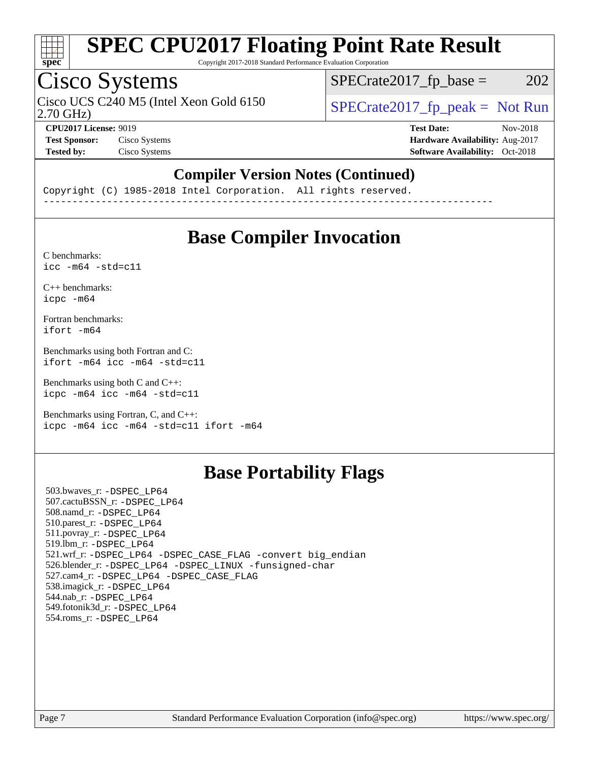

Copyright 2017-2018 Standard Performance Evaluation Corporation

## Cisco Systems

Cisco UCS C240 M5 (Intel Xeon Gold 6150  $SPECrate2017$  fp\_peak = Not Run

 $SPECTate2017<sub>fr</sub> base = 202$ 

2.70 GHz)

**[CPU2017 License:](http://www.spec.org/auto/cpu2017/Docs/result-fields.html#CPU2017License)** 9019 **[Test Date:](http://www.spec.org/auto/cpu2017/Docs/result-fields.html#TestDate)** Nov-2018 **[Test Sponsor:](http://www.spec.org/auto/cpu2017/Docs/result-fields.html#TestSponsor)** Cisco Systems **[Hardware Availability:](http://www.spec.org/auto/cpu2017/Docs/result-fields.html#HardwareAvailability)** Aug-2017 **[Tested by:](http://www.spec.org/auto/cpu2017/Docs/result-fields.html#Testedby)** Cisco Systems **[Software Availability:](http://www.spec.org/auto/cpu2017/Docs/result-fields.html#SoftwareAvailability)** Oct-2018

#### **[Compiler Version Notes \(Continued\)](http://www.spec.org/auto/cpu2017/Docs/result-fields.html#CompilerVersionNotes)**

Copyright (C) 1985-2018 Intel Corporation. All rights reserved. ------------------------------------------------------------------------------

### **[Base Compiler Invocation](http://www.spec.org/auto/cpu2017/Docs/result-fields.html#BaseCompilerInvocation)**

[C benchmarks](http://www.spec.org/auto/cpu2017/Docs/result-fields.html#Cbenchmarks):  $\text{icc}$  -m64 -std=c11

[C++ benchmarks:](http://www.spec.org/auto/cpu2017/Docs/result-fields.html#CXXbenchmarks) [icpc -m64](http://www.spec.org/cpu2017/results/res2018q4/cpu2017-20181211-10275.flags.html#user_CXXbase_intel_icpc_64bit_4ecb2543ae3f1412ef961e0650ca070fec7b7afdcd6ed48761b84423119d1bf6bdf5cad15b44d48e7256388bc77273b966e5eb805aefd121eb22e9299b2ec9d9)

[Fortran benchmarks](http://www.spec.org/auto/cpu2017/Docs/result-fields.html#Fortranbenchmarks): [ifort -m64](http://www.spec.org/cpu2017/results/res2018q4/cpu2017-20181211-10275.flags.html#user_FCbase_intel_ifort_64bit_24f2bb282fbaeffd6157abe4f878425411749daecae9a33200eee2bee2fe76f3b89351d69a8130dd5949958ce389cf37ff59a95e7a40d588e8d3a57e0c3fd751)

[Benchmarks using both Fortran and C](http://www.spec.org/auto/cpu2017/Docs/result-fields.html#BenchmarksusingbothFortranandC): [ifort -m64](http://www.spec.org/cpu2017/results/res2018q4/cpu2017-20181211-10275.flags.html#user_CC_FCbase_intel_ifort_64bit_24f2bb282fbaeffd6157abe4f878425411749daecae9a33200eee2bee2fe76f3b89351d69a8130dd5949958ce389cf37ff59a95e7a40d588e8d3a57e0c3fd751) [icc -m64 -std=c11](http://www.spec.org/cpu2017/results/res2018q4/cpu2017-20181211-10275.flags.html#user_CC_FCbase_intel_icc_64bit_c11_33ee0cdaae7deeeab2a9725423ba97205ce30f63b9926c2519791662299b76a0318f32ddfffdc46587804de3178b4f9328c46fa7c2b0cd779d7a61945c91cd35)

[Benchmarks using both C and C++](http://www.spec.org/auto/cpu2017/Docs/result-fields.html#BenchmarksusingbothCandCXX): [icpc -m64](http://www.spec.org/cpu2017/results/res2018q4/cpu2017-20181211-10275.flags.html#user_CC_CXXbase_intel_icpc_64bit_4ecb2543ae3f1412ef961e0650ca070fec7b7afdcd6ed48761b84423119d1bf6bdf5cad15b44d48e7256388bc77273b966e5eb805aefd121eb22e9299b2ec9d9) [icc -m64 -std=c11](http://www.spec.org/cpu2017/results/res2018q4/cpu2017-20181211-10275.flags.html#user_CC_CXXbase_intel_icc_64bit_c11_33ee0cdaae7deeeab2a9725423ba97205ce30f63b9926c2519791662299b76a0318f32ddfffdc46587804de3178b4f9328c46fa7c2b0cd779d7a61945c91cd35)

[Benchmarks using Fortran, C, and C++:](http://www.spec.org/auto/cpu2017/Docs/result-fields.html#BenchmarksusingFortranCandCXX) [icpc -m64](http://www.spec.org/cpu2017/results/res2018q4/cpu2017-20181211-10275.flags.html#user_CC_CXX_FCbase_intel_icpc_64bit_4ecb2543ae3f1412ef961e0650ca070fec7b7afdcd6ed48761b84423119d1bf6bdf5cad15b44d48e7256388bc77273b966e5eb805aefd121eb22e9299b2ec9d9) [icc -m64 -std=c11](http://www.spec.org/cpu2017/results/res2018q4/cpu2017-20181211-10275.flags.html#user_CC_CXX_FCbase_intel_icc_64bit_c11_33ee0cdaae7deeeab2a9725423ba97205ce30f63b9926c2519791662299b76a0318f32ddfffdc46587804de3178b4f9328c46fa7c2b0cd779d7a61945c91cd35) [ifort -m64](http://www.spec.org/cpu2017/results/res2018q4/cpu2017-20181211-10275.flags.html#user_CC_CXX_FCbase_intel_ifort_64bit_24f2bb282fbaeffd6157abe4f878425411749daecae9a33200eee2bee2fe76f3b89351d69a8130dd5949958ce389cf37ff59a95e7a40d588e8d3a57e0c3fd751)

## **[Base Portability Flags](http://www.spec.org/auto/cpu2017/Docs/result-fields.html#BasePortabilityFlags)**

 503.bwaves\_r: [-DSPEC\\_LP64](http://www.spec.org/cpu2017/results/res2018q4/cpu2017-20181211-10275.flags.html#suite_basePORTABILITY503_bwaves_r_DSPEC_LP64) 507.cactuBSSN\_r: [-DSPEC\\_LP64](http://www.spec.org/cpu2017/results/res2018q4/cpu2017-20181211-10275.flags.html#suite_basePORTABILITY507_cactuBSSN_r_DSPEC_LP64) 508.namd\_r: [-DSPEC\\_LP64](http://www.spec.org/cpu2017/results/res2018q4/cpu2017-20181211-10275.flags.html#suite_basePORTABILITY508_namd_r_DSPEC_LP64) 510.parest\_r: [-DSPEC\\_LP64](http://www.spec.org/cpu2017/results/res2018q4/cpu2017-20181211-10275.flags.html#suite_basePORTABILITY510_parest_r_DSPEC_LP64) 511.povray\_r: [-DSPEC\\_LP64](http://www.spec.org/cpu2017/results/res2018q4/cpu2017-20181211-10275.flags.html#suite_basePORTABILITY511_povray_r_DSPEC_LP64) 519.lbm\_r: [-DSPEC\\_LP64](http://www.spec.org/cpu2017/results/res2018q4/cpu2017-20181211-10275.flags.html#suite_basePORTABILITY519_lbm_r_DSPEC_LP64) 521.wrf\_r: [-DSPEC\\_LP64](http://www.spec.org/cpu2017/results/res2018q4/cpu2017-20181211-10275.flags.html#suite_basePORTABILITY521_wrf_r_DSPEC_LP64) [-DSPEC\\_CASE\\_FLAG](http://www.spec.org/cpu2017/results/res2018q4/cpu2017-20181211-10275.flags.html#b521.wrf_r_baseCPORTABILITY_DSPEC_CASE_FLAG) [-convert big\\_endian](http://www.spec.org/cpu2017/results/res2018q4/cpu2017-20181211-10275.flags.html#user_baseFPORTABILITY521_wrf_r_convert_big_endian_c3194028bc08c63ac5d04de18c48ce6d347e4e562e8892b8bdbdc0214820426deb8554edfa529a3fb25a586e65a3d812c835984020483e7e73212c4d31a38223) 526.blender\_r: [-DSPEC\\_LP64](http://www.spec.org/cpu2017/results/res2018q4/cpu2017-20181211-10275.flags.html#suite_basePORTABILITY526_blender_r_DSPEC_LP64) [-DSPEC\\_LINUX](http://www.spec.org/cpu2017/results/res2018q4/cpu2017-20181211-10275.flags.html#b526.blender_r_baseCPORTABILITY_DSPEC_LINUX) [-funsigned-char](http://www.spec.org/cpu2017/results/res2018q4/cpu2017-20181211-10275.flags.html#user_baseCPORTABILITY526_blender_r_force_uchar_40c60f00ab013830e2dd6774aeded3ff59883ba5a1fc5fc14077f794d777847726e2a5858cbc7672e36e1b067e7e5c1d9a74f7176df07886a243d7cc18edfe67) 527.cam4\_r: [-DSPEC\\_LP64](http://www.spec.org/cpu2017/results/res2018q4/cpu2017-20181211-10275.flags.html#suite_basePORTABILITY527_cam4_r_DSPEC_LP64) [-DSPEC\\_CASE\\_FLAG](http://www.spec.org/cpu2017/results/res2018q4/cpu2017-20181211-10275.flags.html#b527.cam4_r_baseCPORTABILITY_DSPEC_CASE_FLAG) 538.imagick\_r: [-DSPEC\\_LP64](http://www.spec.org/cpu2017/results/res2018q4/cpu2017-20181211-10275.flags.html#suite_basePORTABILITY538_imagick_r_DSPEC_LP64) 544.nab\_r: [-DSPEC\\_LP64](http://www.spec.org/cpu2017/results/res2018q4/cpu2017-20181211-10275.flags.html#suite_basePORTABILITY544_nab_r_DSPEC_LP64) 549.fotonik3d\_r: [-DSPEC\\_LP64](http://www.spec.org/cpu2017/results/res2018q4/cpu2017-20181211-10275.flags.html#suite_basePORTABILITY549_fotonik3d_r_DSPEC_LP64) 554.roms\_r: [-DSPEC\\_LP64](http://www.spec.org/cpu2017/results/res2018q4/cpu2017-20181211-10275.flags.html#suite_basePORTABILITY554_roms_r_DSPEC_LP64)